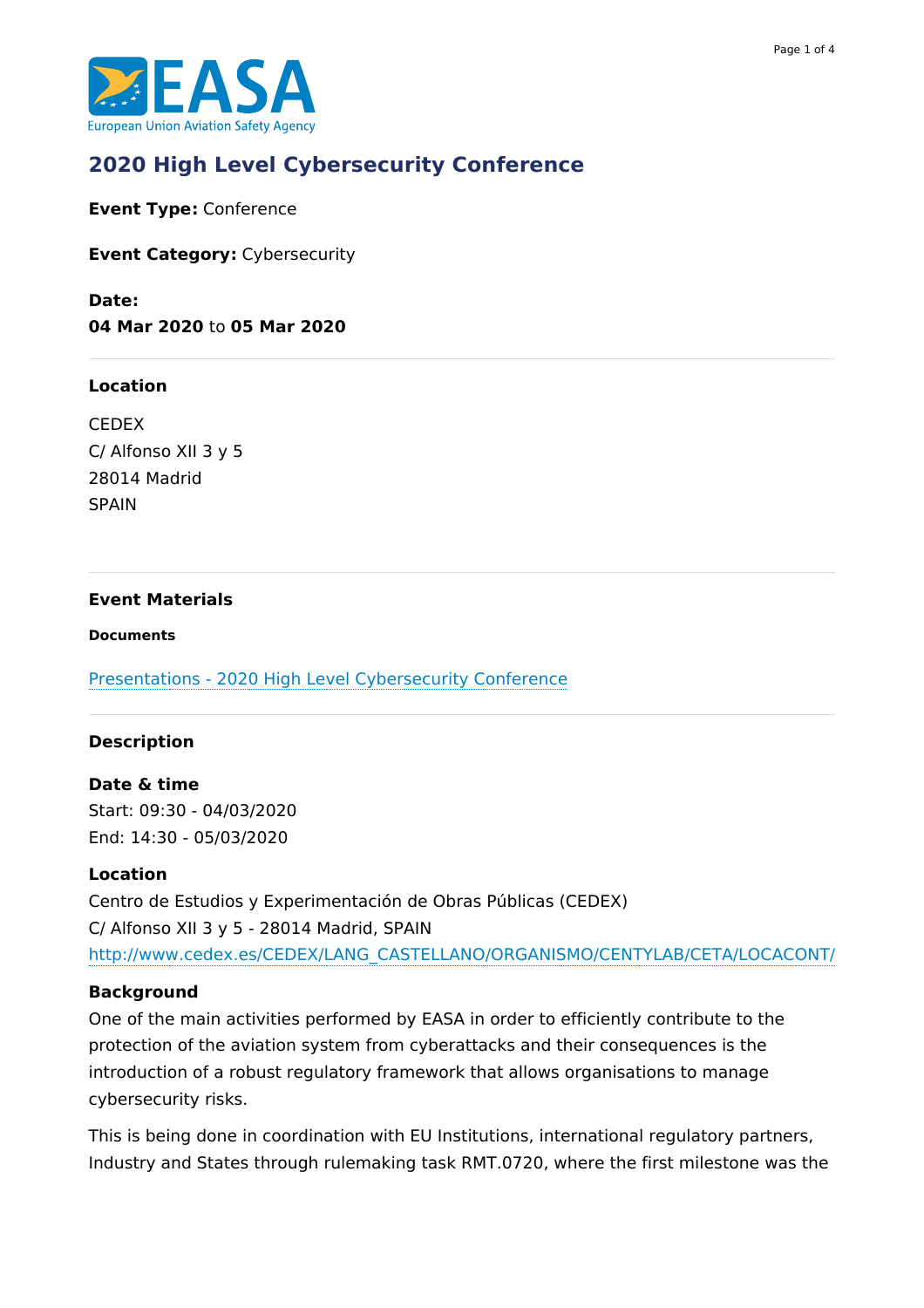

# **2020 High Level [Cybersecurity](https://www.easa.europa.eu/newsroom-and-events/events/2020-high-level-cybersecurity-conference) Conference**

**Event Type:** Conference

**Event Category:** Cybersecurity

**Date: 04 Mar 2020** to **05 Mar 2020**

#### **Location**

CEDEX C/ Alfonso XII 3 y 5 28014 Madrid **SPAIN** 

#### **Event Materials**

#### **Documents**

Presentations - 2020 High Level [Cybersecurity](https://www.easa.europa.eu/downloads/111226/en) Conference

#### **Description**

**Date & time** Start: 09:30 - 04/03/2020 End: 14:30 - 05/03/2020

#### **Location**

Centro de Estudios y Experimentación de Obras Públicas (CEDEX) C/ Alfonso XII 3 y 5 - 28014 Madrid, SPAIN [http://www.cedex.es/CEDEX/LANG\\_CASTELLANO/ORGANISMO/CENTYLAB/CETA/LOCACONT/](http://www.cedex.es/CEDEX/LANG_CASTELLANO/ORGANISMO/CENTYLAB/CETA/LOCACONT/)

#### **Background**

One of the main activities performed by EASA in order to efficiently contribute to the protection of the aviation system from cyberattacks and their consequences is the introduction of a robust regulatory framework that allows organisations to manage cybersecurity risks.

This is being done in coordination with EU Institutions, international regulatory partners, Industry and States through rulemaking task RMT.0720, where the first milestone was the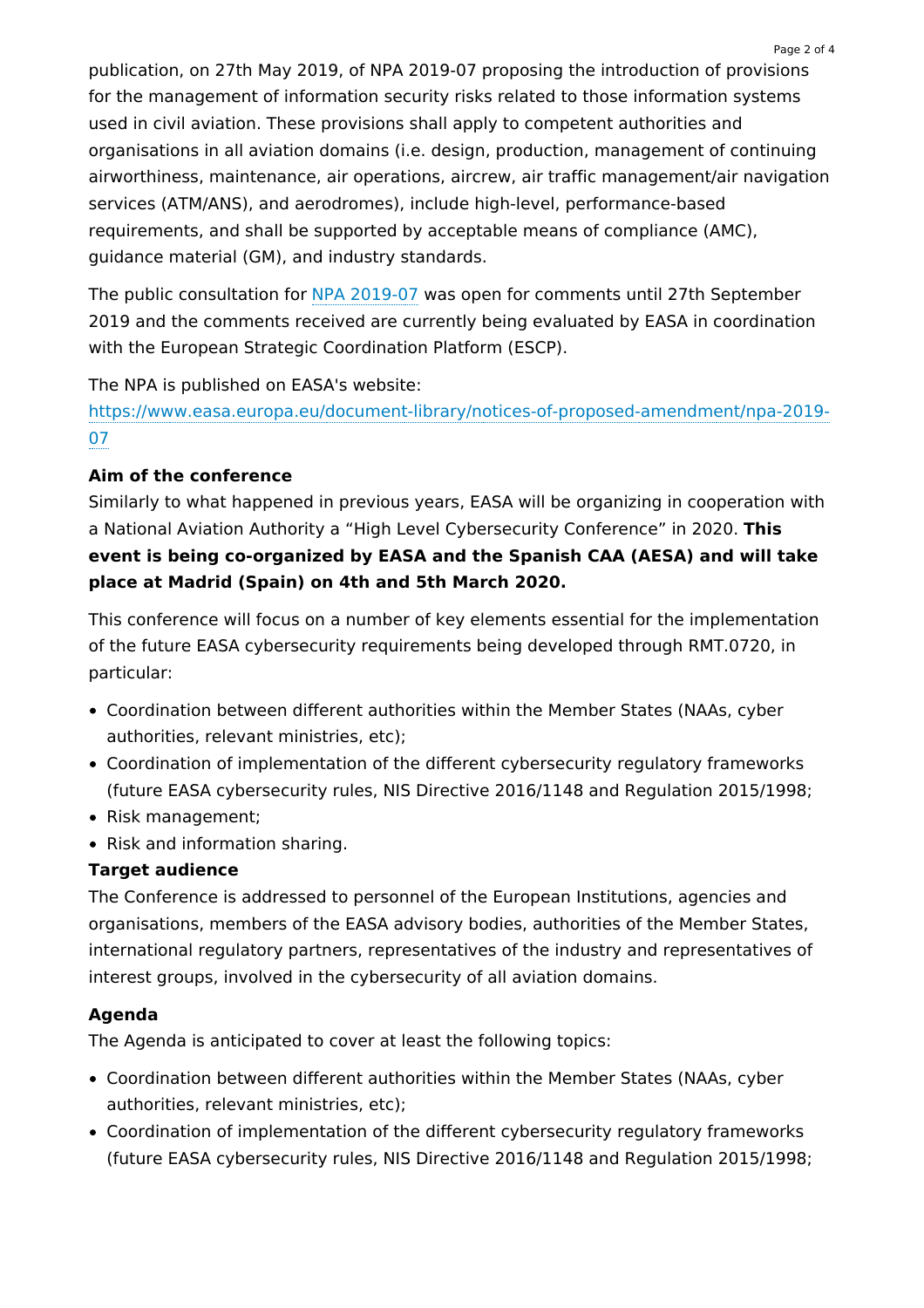publication, on 27th May 2019, of NPA 2019-07 proposing the introduction of provisions for the management of information security risks related to those information systems used in civil aviation. These provisions shall apply to competent authorities and organisations in all aviation domains (i.e. design, production, management of continuing airworthiness, maintenance, air operations, aircrew, air traffic management/air navigation services (ATM/ANS), and aerodromes), include high-level, performance-based requirements, and shall be supported by acceptable means of compliance (AMC), guidance material (GM), and industry standards.

The public consultation for NPA [2019-07](https://www.easa.europa.eu/document-library/notices-of-proposed-amendment/npa-2019-07) was open for comments until 27th September 2019 and the comments received are currently being evaluated by EASA in coordination with the European Strategic Coordination Platform (ESCP).

The NPA is published on EASA's website:

[https://www.easa.europa.eu/document-library/notices-of-proposed-amendment/npa-2019-](https://www.easa.europa.eu/document-library/notices-of-proposed-amendment/npa-2019-07) 07

# **Aim of the conference**

Similarly to what happened in previous years, EASA will be organizing in cooperation with a National Aviation Authority a "High Level Cybersecurity Conference" in 2020. **This event is being co-organized by EASA and the Spanish CAA (AESA) and will take place at Madrid (Spain) on 4th and 5th March 2020.**

This conference will focus on a number of key elements essential for the implementation of the future EASA cybersecurity requirements being developed through RMT.0720, in particular:

- Coordination between different authorities within the Member States (NAAs, cyber authorities, relevant ministries, etc);
- Coordination of implementation of the different cybersecurity regulatory frameworks (future EASA cybersecurity rules, NIS Directive 2016/1148 and Regulation 2015/1998;
- Risk management;
- Risk and information sharing.

# **Target audience**

The Conference is addressed to personnel of the European Institutions, agencies and organisations, members of the EASA advisory bodies, authorities of the Member States, international regulatory partners, representatives of the industry and representatives of interest groups, involved in the cybersecurity of all aviation domains.

#### **Agenda**

The Agenda is anticipated to cover at least the following topics:

- Coordination between different authorities within the Member States (NAAs, cyber authorities, relevant ministries, etc);
- Coordination of implementation of the different cybersecurity regulatory frameworks (future EASA cybersecurity rules, NIS Directive 2016/1148 and Regulation 2015/1998;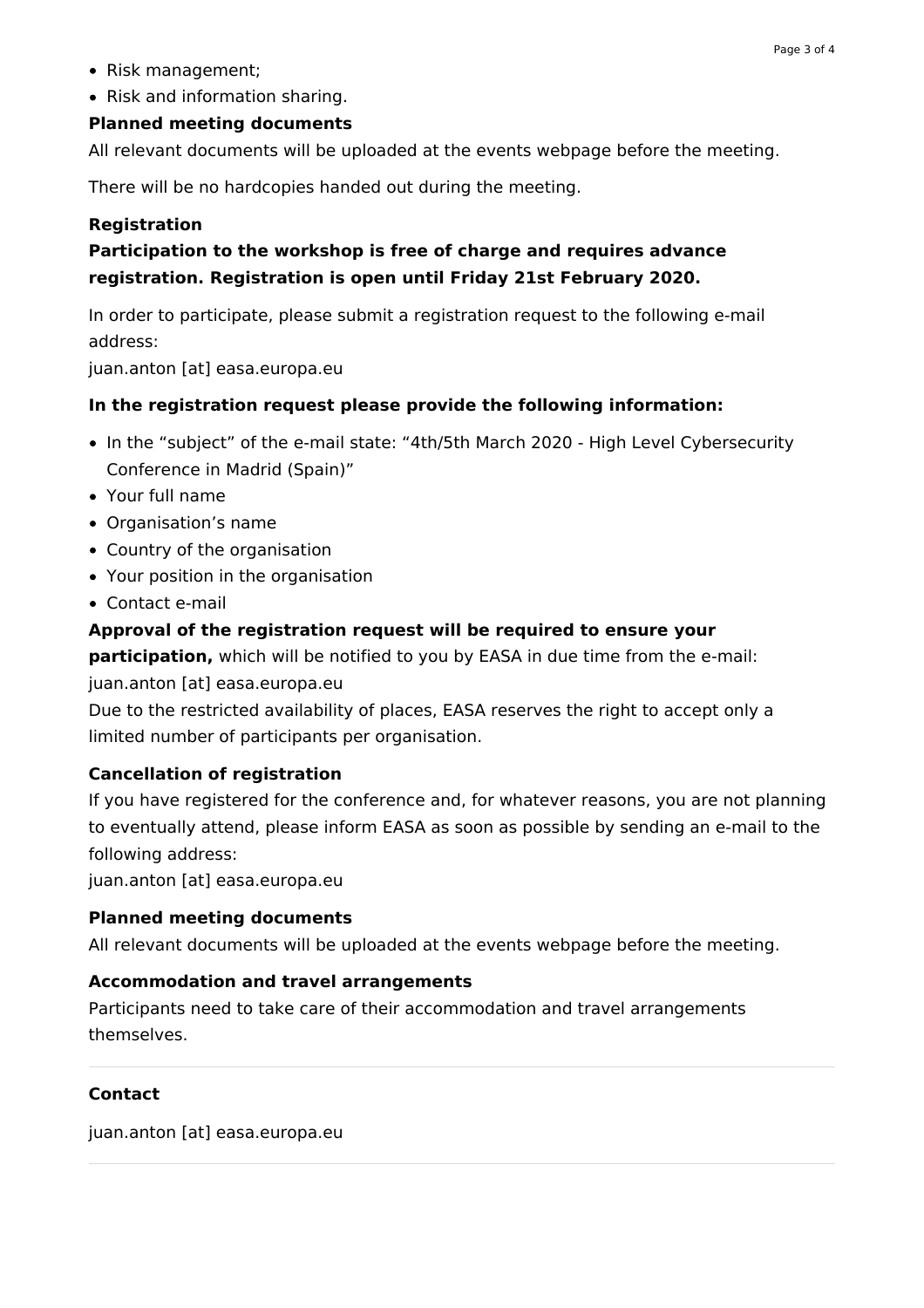- Risk management;
- Risk and information sharing.

# **Planned meeting documents**

All relevant documents will be uploaded at the events webpage before the meeting.

There will be no hardcopies handed out during the meeting.

# **Registration**

# **Participation to the workshop is free of charge and requires advance registration. Registration is open until Friday 21st February 2020.**

In order to participate, please submit a registration request to the following e-mail address:

juan.anton [at] easa.europa.eu

# **In the registration request please provide the following information:**

- In the "subject" of the e-mail state: "4th/5th March 2020 High Level Cybersecurity Conference in Madrid (Spain)"
- Your full name
- Organisation's name
- Country of the organisation
- Your position in the organisation
- Contact e-mail

### **Approval of the registration request will be required to ensure your**

**participation,** which will be notified to you by EASA in due time from the e-mail: juan.anton [at] easa.europa.eu

Due to the restricted availability of places, EASA reserves the right to accept only a limited number of participants per organisation.

# **Cancellation of registration**

If you have registered for the conference and, for whatever reasons, you are not planning to eventually attend, please inform EASA as soon as possible by sending an e-mail to the following address:

juan.anton [at] easa.europa.eu

#### **Planned meeting documents**

All relevant documents will be uploaded at the events webpage before the meeting.

#### **Accommodation and travel arrangements**

Participants need to take care of their accommodation and travel arrangements themselves.

# **Contact**

juan.anton [at] easa.europa.eu